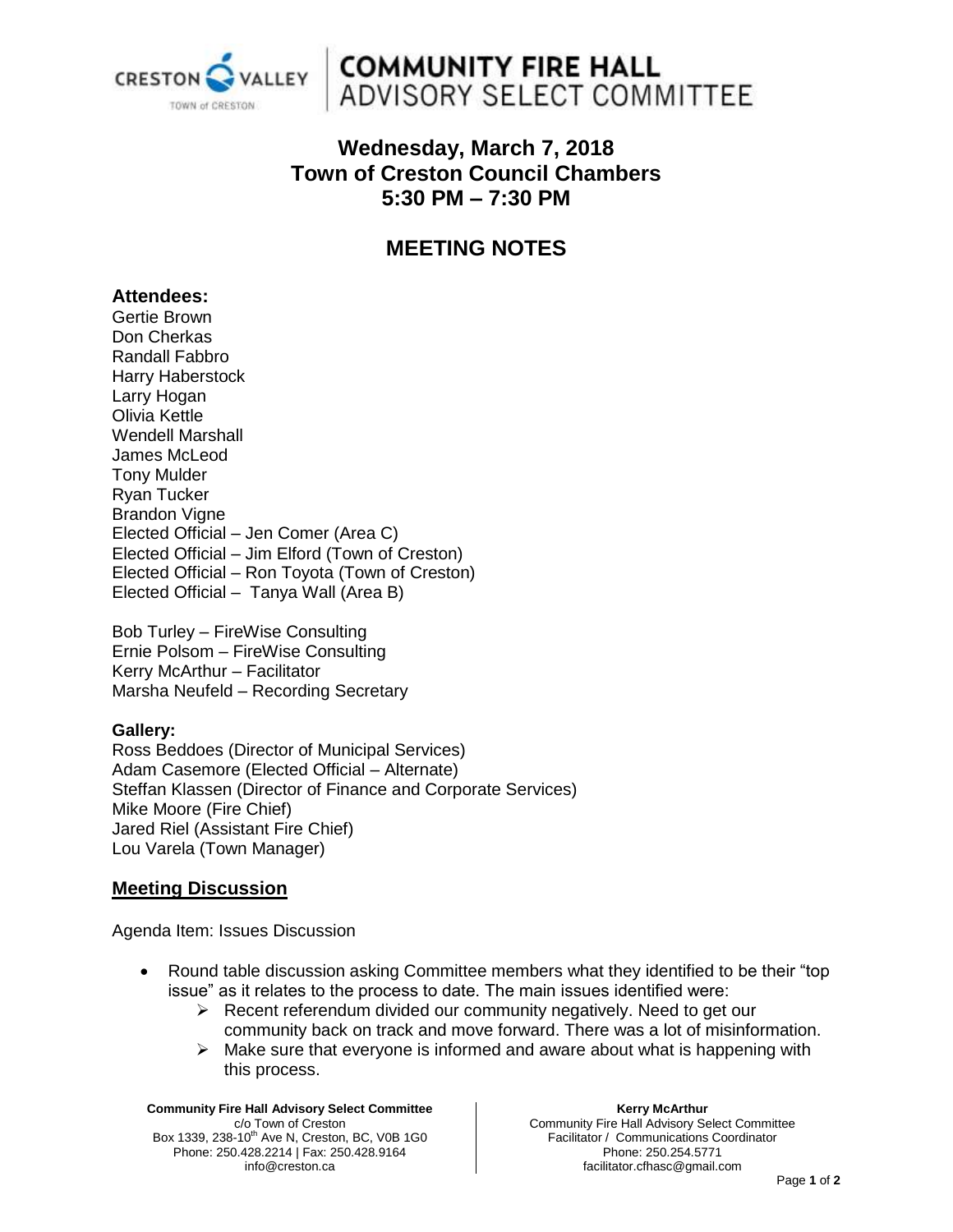

## **COMMUNITY FIRE HALL** ADVISORY SELECT COMMITTEE

## **Wednesday, March 7, 2018 Town of Creston Council Chambers 5:30 PM – 7:30 PM**

## **MEETING NOTES**

#### **Attendees:**

Gertie Brown Don Cherkas Randall Fabbro Harry Haberstock Larry Hogan Olivia Kettle Wendell Marshall James McLeod Tony Mulder Ryan Tucker Brandon Vigne Elected Official – Jen Comer (Area C) Elected Official – Jim Elford (Town of Creston) Elected Official – Ron Toyota (Town of Creston) Elected Official – Tanya Wall (Area B)

Bob Turley – FireWise Consulting Ernie Polsom – FireWise Consulting Kerry McArthur – Facilitator Marsha Neufeld – Recording Secretary

#### **Gallery:**

Ross Beddoes (Director of Municipal Services) Adam Casemore (Elected Official – Alternate) Steffan Klassen (Director of Finance and Corporate Services) Mike Moore (Fire Chief) Jared Riel (Assistant Fire Chief) Lou Varela (Town Manager)

#### **Meeting Discussion**

Agenda Item: Issues Discussion

- Round table discussion asking Committee members what they identified to be their "top issue" as it relates to the process to date. The main issues identified were:
	- $\triangleright$  Recent referendum divided our community negatively. Need to get our community back on track and move forward. There was a lot of misinformation.
	- $\triangleright$  Make sure that everyone is informed and aware about what is happening with this process.

**Community Fire Hall Advisory Select Committee** c/o Town of Creston Box 1339, 238-10<sup>th</sup> Ave N, Creston, BC, V0B 1G0 Phone: 250.428.2214 | Fax: 250.428.9164 info@creston.ca

**Kerry McArthur**

Community Fire Hall Advisory Select Committee Facilitator / Communications Coordinator Phone: 250.254.5771 facilitator.cfhasc@gmail.com